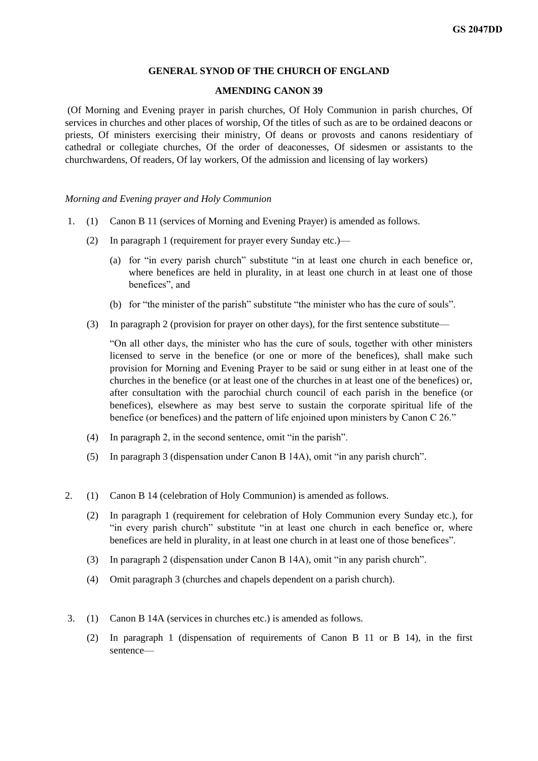#### **GENERAL SYNOD OF THE CHURCH OF ENGLAND**

## **AMENDING CANON 39**

(Of Morning and Evening prayer in parish churches, Of Holy Communion in parish churches, Of services in churches and other places of worship, Of the titles of such as are to be ordained deacons or priests, Of ministers exercising their ministry, Of deans or provosts and canons residentiary of cathedral or collegiate churches, Of the order of deaconesses, Of sidesmen or assistants to the churchwardens, Of readers, Of lay workers, Of the admission and licensing of lay workers)

#### *Morning and Evening prayer and Holy Communion*

- 1. (1) Canon B 11 (services of Morning and Evening Prayer) is amended as follows.
	- (2) In paragraph 1 (requirement for prayer every Sunday etc.)—
		- (a) for "in every parish church" substitute "in at least one church in each benefice or, where benefices are held in plurality, in at least one church in at least one of those benefices", and
		- (b) for "the minister of the parish" substitute "the minister who has the cure of souls".
	- (3) In paragraph 2 (provision for prayer on other days), for the first sentence substitute—

"On all other days, the minister who has the cure of souls, together with other ministers licensed to serve in the benefice (or one or more of the benefices), shall make such provision for Morning and Evening Prayer to be said or sung either in at least one of the churches in the benefice (or at least one of the churches in at least one of the benefices) or, after consultation with the parochial church council of each parish in the benefice (or benefices), elsewhere as may best serve to sustain the corporate spiritual life of the benefice (or benefices) and the pattern of life enjoined upon ministers by Canon C 26."

- (4) In paragraph 2, in the second sentence, omit "in the parish".
- (5) In paragraph 3 (dispensation under Canon B 14A), omit "in any parish church".
- 2. (1) Canon B 14 (celebration of Holy Communion) is amended as follows.
	- (2) In paragraph 1 (requirement for celebration of Holy Communion every Sunday etc.), for "in every parish church" substitute "in at least one church in each benefice or, where benefices are held in plurality, in at least one church in at least one of those benefices".
	- (3) In paragraph 2 (dispensation under Canon B 14A), omit "in any parish church".
	- (4) Omit paragraph 3 (churches and chapels dependent on a parish church).
- 3. (1) Canon B 14A (services in churches etc.) is amended as follows.
	- (2) In paragraph 1 (dispensation of requirements of Canon B 11 or B 14), in the first sentence—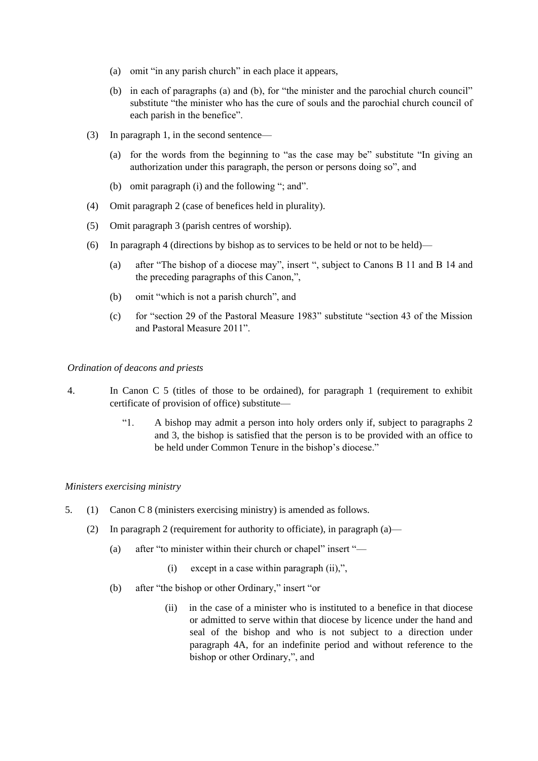- (a) omit "in any parish church" in each place it appears,
- (b) in each of paragraphs (a) and (b), for "the minister and the parochial church council" substitute "the minister who has the cure of souls and the parochial church council of each parish in the benefice".
- (3) In paragraph 1, in the second sentence—
	- (a) for the words from the beginning to "as the case may be" substitute "In giving an authorization under this paragraph, the person or persons doing so", and
	- (b) omit paragraph (i) and the following "; and".
- (4) Omit paragraph 2 (case of benefices held in plurality).
- (5) Omit paragraph 3 (parish centres of worship).
- (6) In paragraph 4 (directions by bishop as to services to be held or not to be held)—
	- (a) after "The bishop of a diocese may", insert ", subject to Canons B 11 and B 14 and the preceding paragraphs of this Canon,",
	- (b) omit "which is not a parish church", and
	- (c) for "section 29 of the Pastoral Measure 1983" substitute "section 43 of the Mission and Pastoral Measure 2011".

## *Ordination of deacons and priests*

- 4. In Canon C 5 (titles of those to be ordained), for paragraph 1 (requirement to exhibit certificate of provision of office) substitute—
	- "1. A bishop may admit a person into holy orders only if, subject to paragraphs 2 and 3, the bishop is satisfied that the person is to be provided with an office to be held under Common Tenure in the bishop's diocese."

## *Ministers exercising ministry*

- 5. (1) Canon C 8 (ministers exercising ministry) is amended as follows.
	- (2) In paragraph 2 (requirement for authority to officiate), in paragraph  $(a)$ 
		- (a) after "to minister within their church or chapel" insert "—
			- (i) except in a case within paragraph (ii),",
		- (b) after "the bishop or other Ordinary," insert "or
			- (ii) in the case of a minister who is instituted to a benefice in that diocese or admitted to serve within that diocese by licence under the hand and seal of the bishop and who is not subject to a direction under paragraph 4A, for an indefinite period and without reference to the bishop or other Ordinary,", and